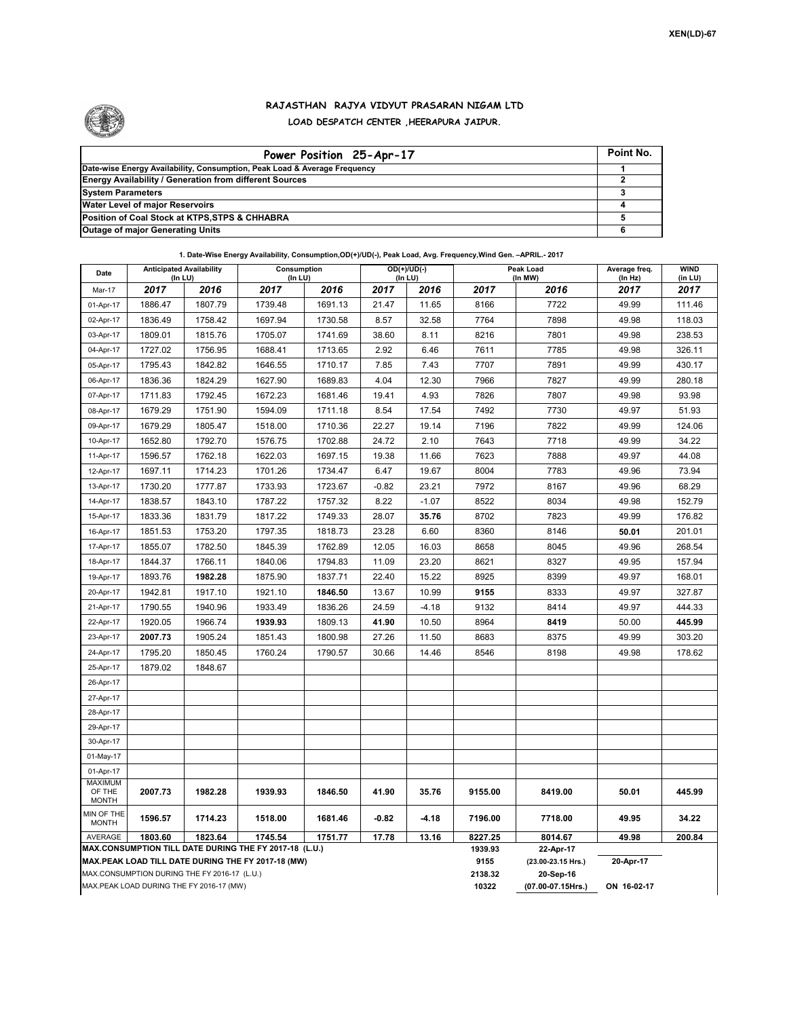

## **RAJASTHAN RAJYA VIDYUT PRASARAN NIGAM LTD LOAD DESPATCH CENTER ,HEERAPURA JAIPUR.**

| Power Position 25-Apr-17                                                  | Point No. |
|---------------------------------------------------------------------------|-----------|
| Date-wise Energy Availability, Consumption, Peak Load & Average Frequency |           |
| <b>Energy Availability / Generation from different Sources</b>            |           |
| <b>System Parameters</b>                                                  |           |
| <b>Water Level of major Reservoirs</b>                                    |           |
| Position of Coal Stock at KTPS, STPS & CHHABRA                            |           |
| <b>Outage of major Generating Units</b>                                   |           |

**1. Date-Wise Energy Availability, Consumption,OD(+)/UD(-), Peak Load, Avg. Frequency,Wind Gen. –APRIL.- 2017**

| Date                                                                                                         | <b>Anticipated Availability</b><br>$($ In LU $)$ |         | Consumption<br>$($ In LU $)$ |         |         | OD(+)/UD(-)<br>(In LU) |                    | Peak Load<br>(In MW)            | Average freq.<br>(In Hz) | <b>WIND</b><br>(in LU) |  |  |  |
|--------------------------------------------------------------------------------------------------------------|--------------------------------------------------|---------|------------------------------|---------|---------|------------------------|--------------------|---------------------------------|--------------------------|------------------------|--|--|--|
| Mar-17                                                                                                       | 2017                                             | 2016    | 2017                         | 2016    | 2017    | 2016                   | 2017               | 2016                            | 2017                     | 2017                   |  |  |  |
| 01-Apr-17                                                                                                    | 1886.47                                          | 1807.79 | 1739.48                      | 1691.13 | 21.47   | 11.65                  | 8166               | 7722                            | 49.99                    | 111.46                 |  |  |  |
| 02-Apr-17                                                                                                    | 1836.49                                          | 1758.42 | 1697.94                      | 1730.58 | 8.57    | 32.58                  | 7764               | 7898                            | 49.98                    | 118.03                 |  |  |  |
| 03-Apr-17                                                                                                    | 1809.01                                          | 1815.76 | 1705.07                      | 1741.69 | 38.60   | 8.11                   | 8216               | 7801                            | 49.98                    | 238.53                 |  |  |  |
| 04-Apr-17                                                                                                    | 1727.02                                          | 1756.95 | 1688.41                      | 1713.65 | 2.92    | 6.46                   | 7611               | 7785                            | 49.98                    | 326.11                 |  |  |  |
| 05-Apr-17                                                                                                    | 1795.43                                          | 1842.82 | 1646.55                      | 1710.17 | 7.85    | 7.43                   | 7707               | 7891                            | 49.99                    | 430.17                 |  |  |  |
| 06-Apr-17                                                                                                    | 1836.36                                          | 1824.29 | 1627.90                      | 1689.83 | 4.04    | 12.30                  | 7966               | 7827                            | 49.99                    | 280.18                 |  |  |  |
| 07-Apr-17                                                                                                    | 1711.83                                          | 1792.45 | 1672.23                      | 1681.46 | 19.41   | 4.93                   | 7826               | 7807                            | 49.98                    | 93.98                  |  |  |  |
| 08-Apr-17                                                                                                    | 1679.29                                          | 1751.90 | 1594.09                      | 1711.18 | 8.54    | 17.54                  | 7492               | 7730                            | 49.97                    | 51.93                  |  |  |  |
| 09-Apr-17                                                                                                    | 1679.29                                          | 1805.47 | 1518.00                      | 1710.36 | 22.27   | 19.14                  | 7196               | 7822                            | 49.99                    | 124.06                 |  |  |  |
| 10-Apr-17                                                                                                    | 1652.80                                          | 1792.70 | 1576.75                      | 1702.88 | 24.72   | 2.10                   | 7643               | 7718                            | 49.99                    | 34.22                  |  |  |  |
| 11-Apr-17                                                                                                    | 1596.57                                          | 1762.18 | 1622.03                      | 1697.15 | 19.38   | 11.66                  | 7623               | 7888                            | 49.97                    | 44.08                  |  |  |  |
| 12-Apr-17                                                                                                    | 1697.11                                          | 1714.23 | 1701.26                      | 1734.47 | 6.47    | 19.67                  | 8004               | 7783                            | 49.96                    | 73.94                  |  |  |  |
| 13-Apr-17                                                                                                    | 1730.20                                          | 1777.87 | 1733.93                      | 1723.67 | $-0.82$ | 23.21                  | 7972               | 8167                            | 49.96                    | 68.29                  |  |  |  |
| 14-Apr-17                                                                                                    | 1838.57                                          | 1843.10 | 1787.22                      | 1757.32 | 8.22    | $-1.07$                | 8522               | 8034                            | 49.98                    | 152.79                 |  |  |  |
| 15-Apr-17                                                                                                    | 1833.36                                          | 1831.79 | 1817.22                      | 1749.33 | 28.07   | 35.76                  | 8702               | 7823                            | 49.99                    | 176.82                 |  |  |  |
| 16-Apr-17                                                                                                    | 1851.53                                          | 1753.20 | 1797.35                      | 1818.73 | 23.28   | 6.60                   | 8360               | 8146                            | 50.01                    | 201.01                 |  |  |  |
| 17-Apr-17                                                                                                    | 1855.07                                          | 1782.50 | 1845.39                      | 1762.89 | 12.05   | 16.03                  | 8658               | 8045                            | 49.96                    | 268.54                 |  |  |  |
| 18-Apr-17                                                                                                    | 1844.37                                          | 1766.11 | 1840.06                      | 1794.83 | 11.09   | 23.20                  | 8621               | 8327                            | 49.95                    | 157.94                 |  |  |  |
| 19-Apr-17                                                                                                    | 1893.76                                          | 1982.28 | 1875.90                      | 1837.71 | 22.40   | 15.22                  | 8925               | 8399                            | 49.97                    | 168.01                 |  |  |  |
| 20-Apr-17                                                                                                    | 1942.81                                          | 1917.10 | 1921.10                      | 1846.50 | 13.67   | 10.99                  | 9155               | 8333                            | 49.97                    | 327.87                 |  |  |  |
| 21-Apr-17                                                                                                    | 1790.55                                          | 1940.96 | 1933.49                      | 1836.26 | 24.59   | $-4.18$                | 9132               | 8414                            | 49.97                    | 444.33                 |  |  |  |
| 22-Apr-17                                                                                                    | 1920.05                                          | 1966.74 | 1939.93                      | 1809.13 | 41.90   | 10.50                  | 8964               | 8419                            | 50.00                    | 445.99                 |  |  |  |
| 23-Apr-17                                                                                                    | 2007.73                                          | 1905.24 | 1851.43                      | 1800.98 | 27.26   | 11.50                  | 8683               | 8375                            | 49.99                    | 303.20                 |  |  |  |
| 24-Apr-17                                                                                                    | 1795.20                                          | 1850.45 | 1760.24                      | 1790.57 | 30.66   | 14.46                  | 8546               | 8198                            | 49.98                    | 178.62                 |  |  |  |
| 25-Apr-17                                                                                                    | 1879.02                                          | 1848.67 |                              |         |         |                        |                    |                                 |                          |                        |  |  |  |
| 26-Apr-17                                                                                                    |                                                  |         |                              |         |         |                        |                    |                                 |                          |                        |  |  |  |
| 27-Apr-17                                                                                                    |                                                  |         |                              |         |         |                        |                    |                                 |                          |                        |  |  |  |
| 28-Apr-17                                                                                                    |                                                  |         |                              |         |         |                        |                    |                                 |                          |                        |  |  |  |
| 29-Apr-17                                                                                                    |                                                  |         |                              |         |         |                        |                    |                                 |                          |                        |  |  |  |
| 30-Apr-17                                                                                                    |                                                  |         |                              |         |         |                        |                    |                                 |                          |                        |  |  |  |
| 01-May-17                                                                                                    |                                                  |         |                              |         |         |                        |                    |                                 |                          |                        |  |  |  |
| 01-Apr-17                                                                                                    |                                                  |         |                              |         |         |                        |                    |                                 |                          |                        |  |  |  |
| <b>MAXIMUM</b><br>OF THE                                                                                     | 2007.73                                          | 1982.28 | 1939.93                      | 1846.50 | 41.90   | 35.76                  | 9155.00            | 8419.00                         | 50.01                    | 445.99                 |  |  |  |
| <b>MONTH</b>                                                                                                 |                                                  |         |                              |         |         |                        |                    |                                 |                          |                        |  |  |  |
| MIN OF THE<br><b>MONTH</b>                                                                                   | 1596.57                                          | 1714.23 | 1518.00                      | 1681.46 | -0.82   | -4.18                  | 7196.00            | 7718.00                         | 49.95                    | 34.22                  |  |  |  |
| AVERAGE                                                                                                      | 1803.60                                          | 1823.64 | 1745.54                      | 1751.77 | 17.78   | 13.16                  | 8227.25<br>1939.93 | 8014.67                         | 49.98                    | 200.84                 |  |  |  |
| MAX.CONSUMPTION TILL DATE DURING THE FY 2017-18 (L.U.)<br>MAX.PEAK LOAD TILL DATE DURING THE FY 2017-18 (MW) |                                                  |         |                              |         |         |                        |                    | 22-Apr-17<br>(23.00-23.15 Hrs.) | 20-Apr-17                |                        |  |  |  |
| MAX.CONSUMPTION DURING THE FY 2016-17 (L.U.)                                                                 |                                                  |         |                              |         |         |                        |                    | 20-Sep-16                       |                          |                        |  |  |  |
| MAX.PEAK LOAD DURING THE FY 2016-17 (MW)                                                                     |                                                  |         |                              |         |         |                        |                    | (07.00-07.15Hrs.)               | ON 16-02-17              |                        |  |  |  |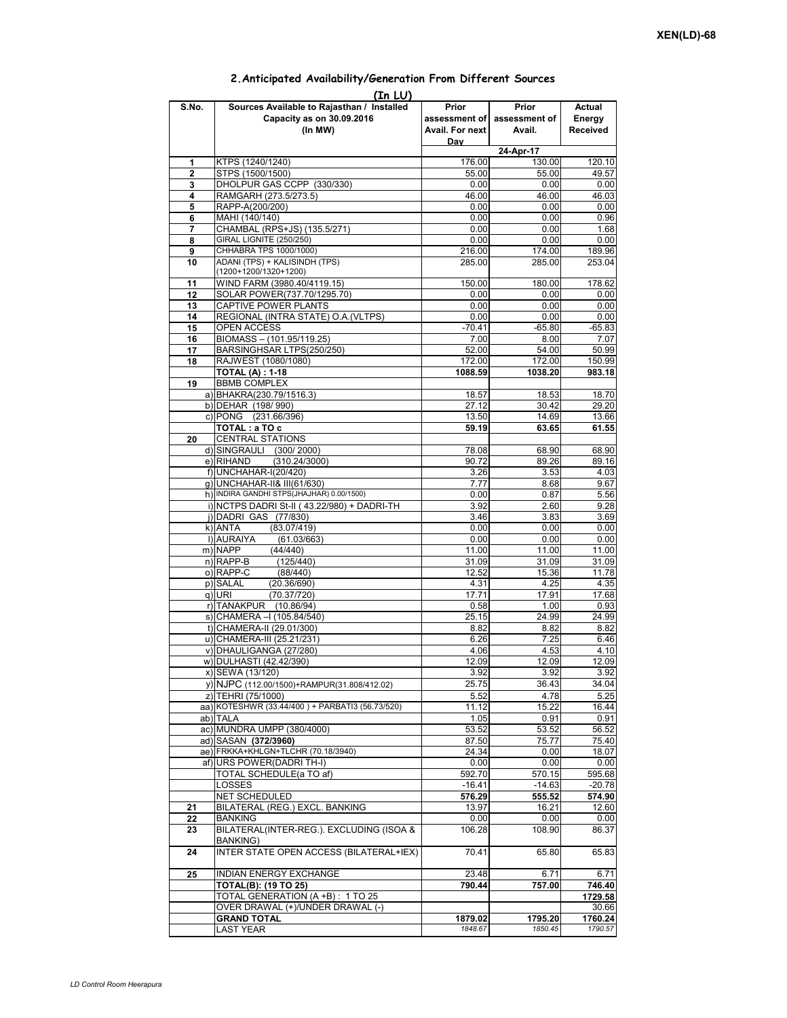|                | (In LU)                                                                 |                                  |               |               |
|----------------|-------------------------------------------------------------------------|----------------------------------|---------------|---------------|
| S.No.          | Sources Available to Rajasthan / Installed<br>Capacity as on 30.09.2016 | Prior                            | Prior         | Actual        |
|                |                                                                         | assessment of<br>Avail. For next | assessment of | Energy        |
|                | (In MW)                                                                 |                                  | Avail.        | Received      |
|                |                                                                         | Dav                              | 24-Apr-17     |               |
| 1              | KTPS (1240/1240)                                                        | 176.00                           | 130.00        | 120.10        |
| $\overline{2}$ | STPS (1500/1500)                                                        | 55.00                            | 55.00         | 49.57         |
| 3              | DHOLPUR GAS CCPP (330/330)                                              | 0.00                             | 0.00          | 0.00          |
| 4              | RAMGARH (273.5/273.5)                                                   | 46.00                            | 46.00         | 46.03         |
| 5              | RAPP-A(200/200)                                                         | 0.00                             | 0.00          | 0.00          |
| 6              | MAHI (140/140)                                                          | 0.00                             | 0.00          | 0.96          |
| 7              | CHAMBAL (RPS+JS) (135.5/271)                                            | 0.00                             | 0.00          | 1.68          |
| 8              | <b>GIRAL LIGNITE (250/250)</b>                                          | 0.00                             | 0.00          | 0.00          |
| 9              | CHHABRA TPS 1000/1000)                                                  | 216.00                           | 174.00        | 189.96        |
| 10             | ADANI (TPS) + KALISINDH (TPS)                                           | 285.00                           | 285.00        | 253.04        |
|                | (1200+1200/1320+1200)                                                   |                                  |               |               |
| 11             | WIND FARM (3980.40/4119.15)                                             | 150.00                           | 180.00        | 178.62        |
| 12             | SOLAR POWER(737.70/1295.70)                                             | 0.00                             | 0.00          | 0.00          |
| 13             | CAPTIVE POWER PLANTS                                                    | 0.00                             | 0.00          | 0.00          |
| 14             | REGIONAL (INTRA STATE) O.A. (VLTPS)                                     | 0.00                             | 0.00          | 0.00          |
| 15             | <b>OPEN ACCESS</b>                                                      | $-70.41$                         | $-65.80$      | $-65.83$      |
| 16             | BIOMASS - (101.95/119.25)                                               | 7.00                             | 8.00          | 7.07          |
| 17             | BARSINGHSAR LTPS(250/250)                                               | 52.00                            | 54.00         | 50.99         |
| 18             | RAJWEST (1080/1080)                                                     | 172.00                           | 172.00        | 150.99        |
|                | <b>TOTAL (A): 1-18</b>                                                  | 1088.59                          | 1038.20       | 983.18        |
| 19             | <b>BBMB COMPLEX</b>                                                     |                                  |               |               |
|                | a) BHAKRA(230.79/1516.3)                                                | 18.57                            | 18.53         | 18.70         |
|                | b) DEHAR (198/990)                                                      | 27.12                            | 30.42         | 29.20         |
|                | c) PONG (231.66/396)                                                    | 13.50                            | 14.69         | 13.66         |
|                | TOTAL : a TO c                                                          | 59.19                            | 63.65         | 61.55         |
| 20             | <b>CENTRAL STATIONS</b>                                                 |                                  |               |               |
|                | d) SINGRAULI (300/2000)                                                 | 78.08                            | 68.90         | 68.90         |
|                | e) RIHAND<br>(310.24/3000)                                              | 90.72                            | 89.26         | 89.16         |
|                | f) UNCHAHAR-I(20/420)                                                   | 3.26                             | 3.53          | 4.03          |
|                | g) UNCHAHAR-II& III(61/630)                                             | 7.77                             | 8.68          | 9.67          |
|                | h) INDIRA GANDHI STPS(JHAJHAR) 0.00/1500)                               | 0.00                             | 0.87          | 5.56          |
|                | i) NCTPS DADRI St-II (43.22/980) + DADRI-TH                             | 3.92                             | 2.60          | 9.28          |
|                | j) DADRI GAS (77/830)                                                   | 3.46                             | 3.83          | 3.69          |
|                | k) ANTA<br>(83.07/419)                                                  | 0.00                             | 0.00          | 0.00          |
|                | I) AURAIYA<br>(61.03/663)<br>m) NAPP<br>(44/440)                        | 0.00                             | 0.00          | 0.00          |
|                | n) RAPP-B<br>(125/440)                                                  | 11.00                            | 11.00         | 11.00         |
|                | o) RAPP-C                                                               | 31.09<br>12.52                   | 31.09         | 31.09         |
|                | (88/440)<br>p) SALAL                                                    | 4.31                             | 15.36<br>4.25 | 11.78<br>4.35 |
|                | (20.36/690)<br>(70.37/720)<br>q) URI                                    | 17.71                            | 17.91         | 17.68         |
|                | r) TANAKPUR (10.86/94)                                                  | 0.58                             | 1.00          | 0.93          |
|                | s) CHAMERA - (105.84/540)                                               | 25.15                            | 24.99         | 24.99         |
|                | t) CHAMERA-II (29.01/300)                                               | 8.82                             | 8.82          | 8.82          |
|                | u) CHAMERA-III (25.21/231)                                              | 6.26                             | 7.25          | 6.46          |
|                | v) DHAULIGANGA (27/280)                                                 | 4.06                             | 4.53          | 4.10          |
|                | w) DULHASTI (42.42/390)                                                 | 12.09                            | 12.09         | 12.09         |
|                | x) SEWA (13/120)                                                        | 3.92                             | 3.92          | 3.92          |
|                | y) NJPC (112.00/1500) + RAMPUR(31.808/412.02)                           | 25.75                            | 36.43         | 34.04         |
|                | z) TEHRI (75/1000)                                                      | 5.52                             | 4.78          | 5.25          |
|                | aa) KOTESHWR (33.44/400) + PARBATI3 (56.73/520)                         | 11.12                            | 15.22         | 16.44         |
|                | ab) TALA                                                                | 1.05                             | 0.91          | 0.91          |
|                | ac) MUNDRA UMPP (380/4000)                                              | 53.52                            | 53.52         | 56.52         |
|                | ad) SASAN (372/3960)                                                    | 87.50                            | 75.77         | 75.40         |
|                | ae) FRKKA+KHLGN+TLCHR (70.18/3940)                                      | 24.34                            | 0.00          | 18.07         |
|                | af) URS POWER(DADRI TH-I)                                               | 0.00                             | 0.00          | 0.00          |
|                | TOTAL SCHEDULE(a TO af)                                                 | 592.70                           | 570.15        | 595.68        |
|                | LOSSES                                                                  | $-16.41$                         | $-14.63$      | $-20.78$      |
|                | <b>NET SCHEDULED</b>                                                    | 576.29                           | 555.52        | 574.90        |
| 21             | BILATERAL (REG.) EXCL. BANKING                                          | 13.97                            | 16.21         | 12.60         |
| 22             | <b>BANKING</b>                                                          | 0.00                             | 0.00          | 0.00          |
| 23             | BILATERAL(INTER-REG.). EXCLUDING (ISOA &                                | 106.28                           | 108.90        | 86.37         |
|                | <b>BANKING)</b>                                                         |                                  |               |               |
| 24             | INTER STATE OPEN ACCESS (BILATERAL+IEX)                                 | 70.41                            | 65.80         | 65.83         |
|                |                                                                         |                                  |               |               |
| 25             | INDIAN ENERGY EXCHANGE                                                  | 23.48                            | 6.71          | 6.71          |
|                | <b>TOTAL(B): (19 TO 25)</b>                                             | 790.44                           | 757.00        | 746.40        |
|                | TOTAL GENERATION (A +B) : 1 TO 25                                       |                                  |               | 1729.58       |
|                | OVER DRAWAL (+)/UNDER DRAWAL (-)                                        |                                  |               | 30.66         |
|                | <b>GRAND TOTAL</b>                                                      | 1879.02                          | 1795.20       | 1760.24       |
|                | LAST YEAR                                                               | 1848.67                          | 1850.45       | 1790.57       |

## **2.Anticipated Availability/Generation From Different Sources**